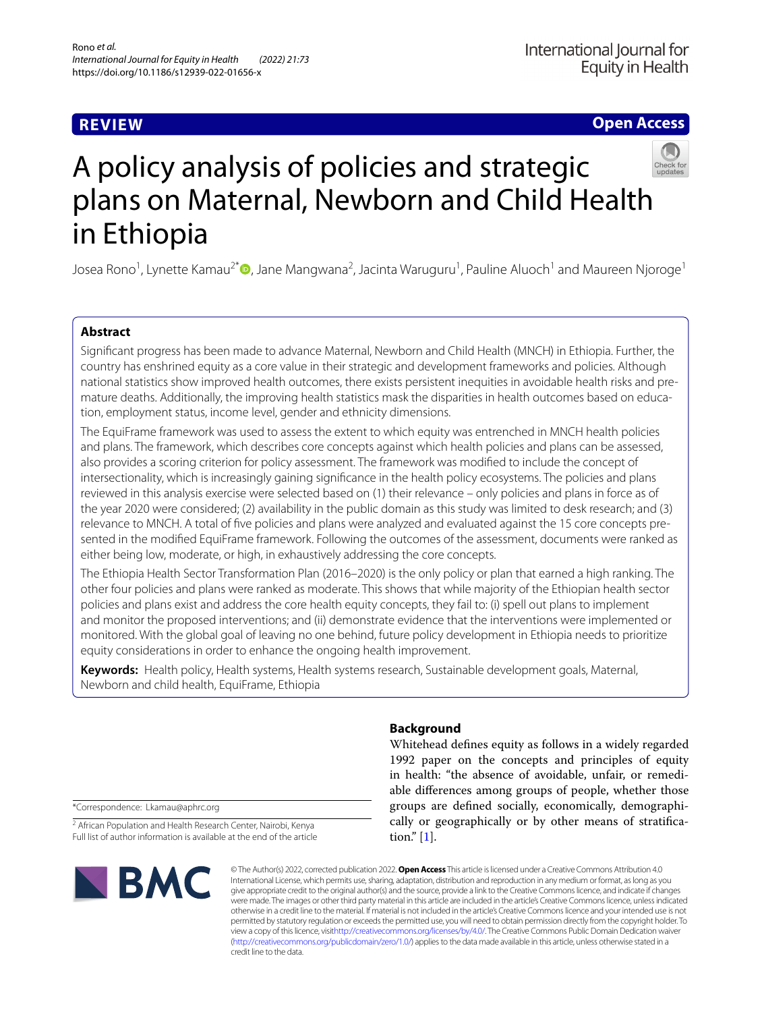# **REVIEW**

**Open Access**



# A policy analysis of policies and strategic plans on Maternal, Newborn and Child Health in Ethiopia

Josea Rono<sup>1</sup>[,](http://orcid.org/0000-0001-5334-3793) Lynette Kamau<sup>2\*</sup>®, Jane Mangwana<sup>2</sup>, Jacinta Waruguru<sup>1</sup>, Pauline Aluoch<sup>1</sup> and Maureen Njoroge<sup>1</sup>

## **Abstract**

Signifcant progress has been made to advance Maternal, Newborn and Child Health (MNCH) in Ethiopia. Further, the country has enshrined equity as a core value in their strategic and development frameworks and policies. Although national statistics show improved health outcomes, there exists persistent inequities in avoidable health risks and premature deaths. Additionally, the improving health statistics mask the disparities in health outcomes based on education, employment status, income level, gender and ethnicity dimensions.

The EquiFrame framework was used to assess the extent to which equity was entrenched in MNCH health policies and plans. The framework, which describes core concepts against which health policies and plans can be assessed, also provides a scoring criterion for policy assessment. The framework was modifed to include the concept of intersectionality, which is increasingly gaining signifcance in the health policy ecosystems. The policies and plans reviewed in this analysis exercise were selected based on (1) their relevance – only policies and plans in force as of the year 2020 were considered; (2) availability in the public domain as this study was limited to desk research; and (3) relevance to MNCH. A total of fve policies and plans were analyzed and evaluated against the 15 core concepts presented in the modifed EquiFrame framework. Following the outcomes of the assessment, documents were ranked as either being low, moderate, or high, in exhaustively addressing the core concepts.

The Ethiopia Health Sector Transformation Plan (2016–2020) is the only policy or plan that earned a high ranking. The other four policies and plans were ranked as moderate. This shows that while majority of the Ethiopian health sector policies and plans exist and address the core health equity concepts, they fail to: (i) spell out plans to implement and monitor the proposed interventions; and (ii) demonstrate evidence that the interventions were implemented or monitored. With the global goal of leaving no one behind, future policy development in Ethiopia needs to prioritize equity considerations in order to enhance the ongoing health improvement.

**Keywords:** Health policy, Health systems, Health systems research, Sustainable development goals, Maternal, Newborn and child health, EquiFrame, Ethiopia

**Background**

Whitehead defnes equity as follows in a widely regarded 1992 paper on the concepts and principles of equity in health: "the absence of avoidable, unfair, or remediable diferences among groups of people, whether those groups are defned socially, economically, demographically or geographically or by other means of stratifcation." [\[1](#page-6-0)].

\*Correspondence: Lkamau@aphrc.org

<sup>2</sup> African Population and Health Research Center, Nairobi, Kenya Full list of author information is available at the end of the article



© The Author(s) 2022, corrected publication 2022. **Open Access** This article is licensed under a Creative Commons Attribution 4.0 International License, which permits use, sharing, adaptation, distribution and reproduction in any medium or format, as long as you give appropriate credit to the original author(s) and the source, provide a link to the Creative Commons licence, and indicate if changes were made. The images or other third party material in this article are included in the article's Creative Commons licence, unless indicated otherwise in a credit line to the material. If material is not included in the article's Creative Commons licence and your intended use is not permitted by statutory regulation or exceeds the permitted use, you will need to obtain permission directly from the copyright holder. To view a copy of this licence, visi[thttp://creativecommons.org/licenses/by/4.0/](http://creativecommons.org/licenses/by/4.0/). The Creative Commons Public Domain Dedication waiver [\(http://creativecommons.org/publicdomain/zero/1.0/\)](http://creativecommons.org/publicdomain/zero/1.0/) applies to the data made available in this article, unless otherwise stated in a credit line to the data.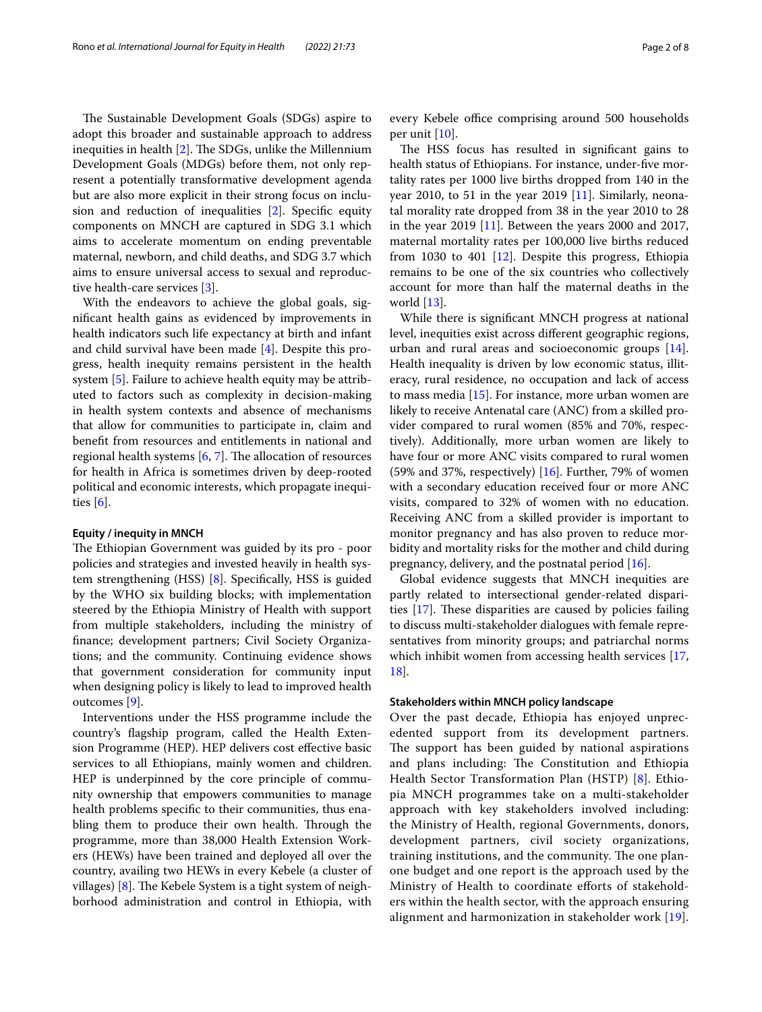The Sustainable Development Goals (SDGs) aspire to adopt this broader and sustainable approach to address inequities in health  $[2]$  $[2]$ . The SDGs, unlike the Millennium Development Goals (MDGs) before them, not only represent a potentially transformative development agenda but are also more explicit in their strong focus on inclusion and reduction of inequalities [[2\]](#page-6-1). Specifc equity components on MNCH are captured in SDG 3.1 which aims to accelerate momentum on ending preventable maternal, newborn, and child deaths, and SDG 3.7 which aims to ensure universal access to sexual and reproductive health-care services [\[3](#page-6-2)].

With the endeavors to achieve the global goals, signifcant health gains as evidenced by improvements in health indicators such life expectancy at birth and infant and child survival have been made [[4\]](#page-6-3). Despite this progress, health inequity remains persistent in the health system [\[5](#page-6-4)]. Failure to achieve health equity may be attributed to factors such as complexity in decision-making in health system contexts and absence of mechanisms that allow for communities to participate in, claim and beneft from resources and entitlements in national and regional health systems  $[6, 7]$  $[6, 7]$  $[6, 7]$ . The allocation of resources for health in Africa is sometimes driven by deep-rooted political and economic interests, which propagate inequities [\[6](#page-6-5)].

#### **Equity / inequity in MNCH**

The Ethiopian Government was guided by its pro - poor policies and strategies and invested heavily in health system strengthening (HSS) [[8\]](#page-7-0). Specifcally, HSS is guided by the WHO six building blocks; with implementation steered by the Ethiopia Ministry of Health with support from multiple stakeholders, including the ministry of fnance; development partners; Civil Society Organizations; and the community. Continuing evidence shows that government consideration for community input when designing policy is likely to lead to improved health outcomes [[9\]](#page-7-1).

Interventions under the HSS programme include the country's fagship program, called the Health Extension Programme (HEP). HEP delivers cost efective basic services to all Ethiopians, mainly women and children. HEP is underpinned by the core principle of community ownership that empowers communities to manage health problems specifc to their communities, thus enabling them to produce their own health. Through the programme, more than 38,000 Health Extension Workers (HEWs) have been trained and deployed all over the country, availing two HEWs in every Kebele (a cluster of villages)  $[8]$  $[8]$ . The Kebele System is a tight system of neighborhood administration and control in Ethiopia, with every Kebele office comprising around 500 households per unit [[10\]](#page-7-2).

The HSS focus has resulted in significant gains to health status of Ethiopians. For instance, under-five mortality rates per 1000 live births dropped from 140 in the year 2010, to 51 in the year 2019 [[11\]](#page-7-3). Similarly, neonatal morality rate dropped from 38 in the year 2010 to 28 in the year 2019 [\[11](#page-7-3)]. Between the years 2000 and 2017, maternal mortality rates per 100,000 live births reduced from 1030 to 401 [\[12](#page-7-4)]. Despite this progress, Ethiopia remains to be one of the six countries who collectively account for more than half the maternal deaths in the world [[13\]](#page-7-5).

While there is signifcant MNCH progress at national level, inequities exist across diferent geographic regions, urban and rural areas and socioeconomic groups [\[14](#page-7-6)]. Health inequality is driven by low economic status, illiteracy, rural residence, no occupation and lack of access to mass media [[15](#page-7-7)]. For instance, more urban women are likely to receive Antenatal care (ANC) from a skilled provider compared to rural women (85% and 70%, respectively). Additionally, more urban women are likely to have four or more ANC visits compared to rural women (59% and 37%, respectively)  $[16]$  $[16]$ . Further, 79% of women with a secondary education received four or more ANC visits, compared to 32% of women with no education. Receiving ANC from a skilled provider is important to monitor pregnancy and has also proven to reduce morbidity and mortality risks for the mother and child during pregnancy, delivery, and the postnatal period [\[16](#page-7-8)].

Global evidence suggests that MNCH inequities are partly related to intersectional gender-related disparities  $[17]$  $[17]$ . These disparities are caused by policies failing to discuss multi-stakeholder dialogues with female representatives from minority groups; and patriarchal norms which inhibit women from accessing health services [[17](#page-7-9), [18\]](#page-7-10).

#### **Stakeholders within MNCH policy landscape**

Over the past decade, Ethiopia has enjoyed unprecedented support from its development partners. The support has been guided by national aspirations and plans including: The Constitution and Ethiopia Health Sector Transformation Plan (HSTP) [\[8](#page-7-0)]. Ethiopia MNCH programmes take on a multi-stakeholder approach with key stakeholders involved including: the Ministry of Health, regional Governments, donors, development partners, civil society organizations, training institutions, and the community. The one planone budget and one report is the approach used by the Ministry of Health to coordinate eforts of stakeholders within the health sector, with the approach ensuring alignment and harmonization in stakeholder work [[19](#page-7-11)].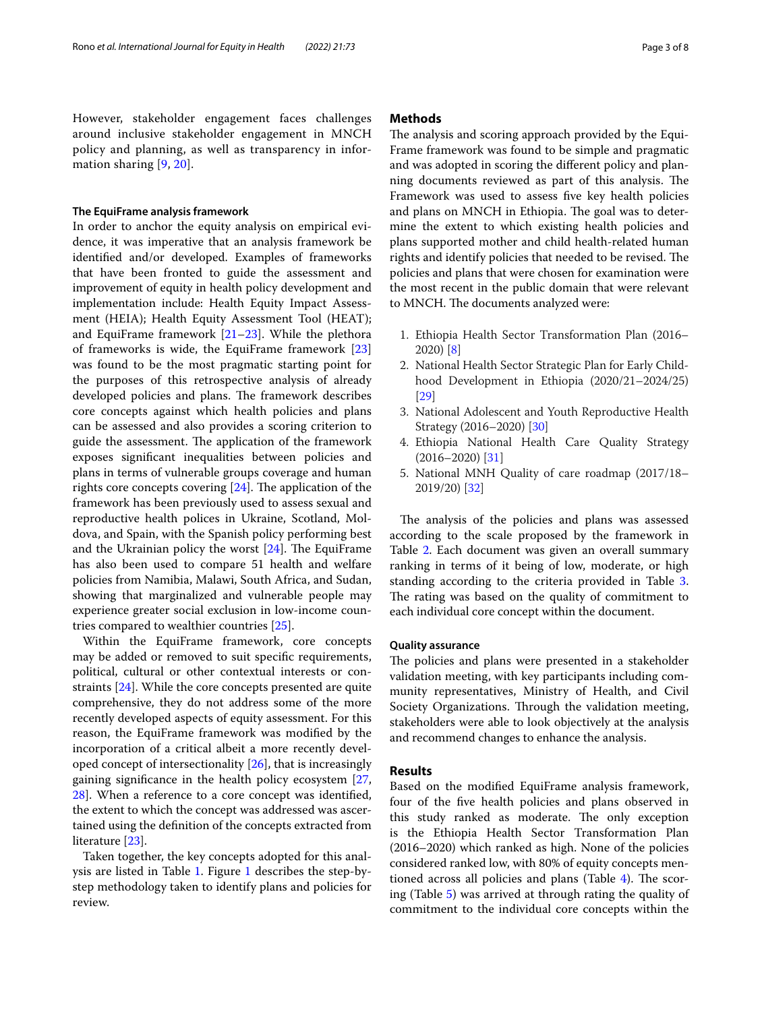However, stakeholder engagement faces challenges around inclusive stakeholder engagement in MNCH policy and planning, as well as transparency in information sharing [[9](#page-7-1), [20\]](#page-7-12).

## **The EquiFrame analysis framework**

In order to anchor the equity analysis on empirical evidence, it was imperative that an analysis framework be identifed and/or developed. Examples of frameworks that have been fronted to guide the assessment and improvement of equity in health policy development and implementation include: Health Equity Impact Assessment (HEIA); Health Equity Assessment Tool (HEAT); and EquiFrame framework  $[21-23]$  $[21-23]$  $[21-23]$ . While the plethora of frameworks is wide, the EquiFrame framework [[23](#page-7-14)] was found to be the most pragmatic starting point for the purposes of this retrospective analysis of already developed policies and plans. The framework describes core concepts against which health policies and plans can be assessed and also provides a scoring criterion to guide the assessment. The application of the framework exposes signifcant inequalities between policies and plans in terms of vulnerable groups coverage and human rights core concepts covering  $[24]$  $[24]$ . The application of the framework has been previously used to assess sexual and reproductive health polices in Ukraine, Scotland, Moldova, and Spain, with the Spanish policy performing best and the Ukrainian policy the worst  $[24]$ . The EquiFrame has also been used to compare 51 health and welfare policies from Namibia, Malawi, South Africa, and Sudan, showing that marginalized and vulnerable people may experience greater social exclusion in low-income countries compared to wealthier countries [[25\]](#page-7-16).

Within the EquiFrame framework, core concepts may be added or removed to suit specifc requirements, political, cultural or other contextual interests or constraints [[24\]](#page-7-15). While the core concepts presented are quite comprehensive, they do not address some of the more recently developed aspects of equity assessment. For this reason, the EquiFrame framework was modifed by the incorporation of a critical albeit a more recently developed concept of intersectionality [\[26](#page-7-17)], that is increasingly gaining signifcance in the health policy ecosystem [\[27](#page-7-18), [28\]](#page-7-19). When a reference to a core concept was identifed, the extent to which the concept was addressed was ascertained using the defnition of the concepts extracted from literature [[23\]](#page-7-14).

Taken together, the key concepts adopted for this analysis are listed in Table [1.](#page-3-0) Figure [1](#page-4-0) describes the step-bystep methodology taken to identify plans and policies for review.

## **Methods**

The analysis and scoring approach provided by the Equi-Frame framework was found to be simple and pragmatic and was adopted in scoring the diferent policy and planning documents reviewed as part of this analysis. The Framework was used to assess five key health policies and plans on MNCH in Ethiopia. The goal was to determine the extent to which existing health policies and plans supported mother and child health-related human rights and identify policies that needed to be revised. The policies and plans that were chosen for examination were the most recent in the public domain that were relevant to MNCH. The documents analyzed were:

- 1. Ethiopia Health Sector Transformation Plan (2016– 2020) [[8](#page-7-0)]
- 2. National Health Sector Strategic Plan for Early Childhood Development in Ethiopia (2020/21–2024/25) [[29\]](#page-7-20)
- 3. National Adolescent and Youth Reproductive Health Strategy (2016–2020) [\[30\]](#page-7-21)
- 4. Ethiopia National Health Care Quality Strategy (2016–2020) [\[31\]](#page-7-22)
- 5. National MNH Quality of care roadmap (2017/18– 2019/20) [[32\]](#page-7-23)

The analysis of the policies and plans was assessed according to the scale proposed by the framework in Table [2.](#page-4-1) Each document was given an overall summary ranking in terms of it being of low, moderate, or high standing according to the criteria provided in Table [3](#page-4-2). The rating was based on the quality of commitment to each individual core concept within the document.

#### **Quality assurance**

The policies and plans were presented in a stakeholder validation meeting, with key participants including community representatives, Ministry of Health, and Civil Society Organizations. Through the validation meeting, stakeholders were able to look objectively at the analysis and recommend changes to enhance the analysis.

## **Results**

Based on the modifed EquiFrame analysis framework, four of the fve health policies and plans observed in this study ranked as moderate. The only exception is the Ethiopia Health Sector Transformation Plan (2016–2020) which ranked as high. None of the policies considered ranked low, with 80% of equity concepts mentioned across all policies and plans (Table  $4$ ). The scoring (Table [5\)](#page-5-1) was arrived at through rating the quality of commitment to the individual core concepts within the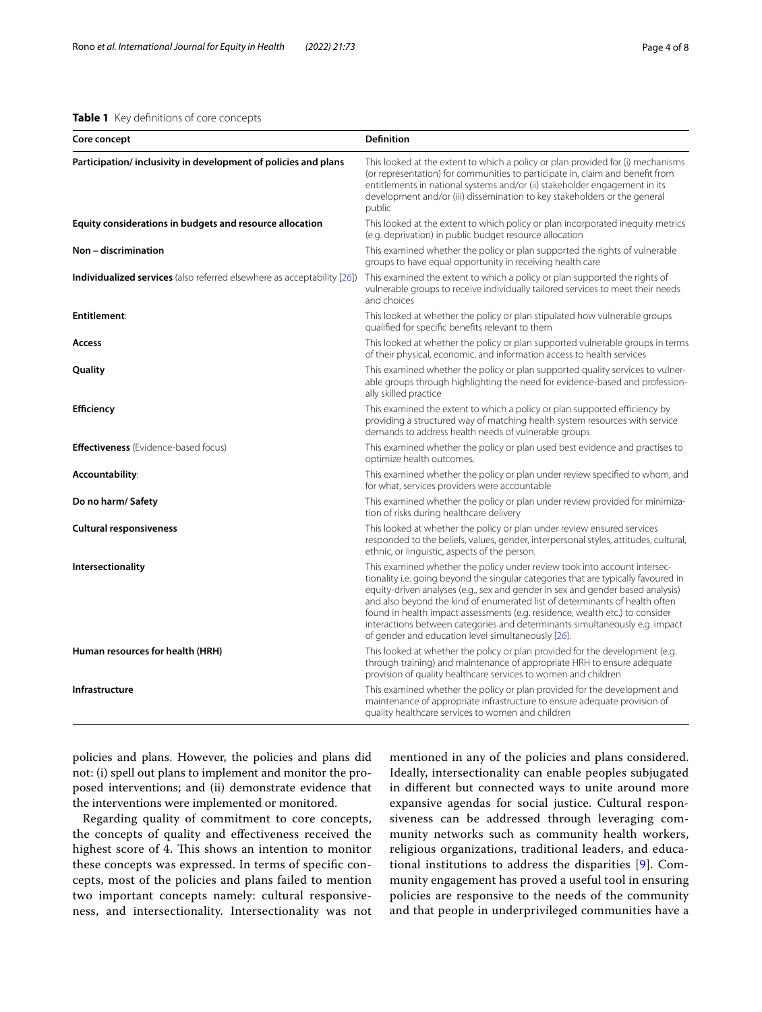## <span id="page-3-0"></span>**Table 1** Key defnitions of core concepts

| Core concept                                                                   | <b>Definition</b>                                                                                                                                                                                                                                                                                                                                                                                                                                                                                                                                     |
|--------------------------------------------------------------------------------|-------------------------------------------------------------------------------------------------------------------------------------------------------------------------------------------------------------------------------------------------------------------------------------------------------------------------------------------------------------------------------------------------------------------------------------------------------------------------------------------------------------------------------------------------------|
| Participation/inclusivity in development of policies and plans                 | This looked at the extent to which a policy or plan provided for (i) mechanisms<br>(or representation) for communities to participate in, claim and benefit from<br>entitlements in national systems and/or (ii) stakeholder engagement in its<br>development and/or (iii) dissemination to key stakeholders or the general<br>public                                                                                                                                                                                                                 |
| Equity considerations in budgets and resource allocation                       | This looked at the extent to which policy or plan incorporated inequity metrics<br>(e.g. deprivation) in public budget resource allocation                                                                                                                                                                                                                                                                                                                                                                                                            |
| Non - discrimination                                                           | This examined whether the policy or plan supported the rights of vulnerable<br>groups to have equal opportunity in receiving health care                                                                                                                                                                                                                                                                                                                                                                                                              |
| <b>Individualized services</b> (also referred elsewhere as acceptability [26]) | This examined the extent to which a policy or plan supported the rights of<br>vulnerable groups to receive individually tailored services to meet their needs<br>and choices                                                                                                                                                                                                                                                                                                                                                                          |
| Entitlement:                                                                   | This looked at whether the policy or plan stipulated how vulnerable groups<br>qualified for specific benefits relevant to them                                                                                                                                                                                                                                                                                                                                                                                                                        |
| Access                                                                         | This looked at whether the policy or plan supported vulnerable groups in terms<br>of their physical, economic, and information access to health services                                                                                                                                                                                                                                                                                                                                                                                              |
| Quality                                                                        | This examined whether the policy or plan supported quality services to vulner-<br>able groups through highlighting the need for evidence-based and profession-<br>ally skilled practice                                                                                                                                                                                                                                                                                                                                                               |
| Efficiency                                                                     | This examined the extent to which a policy or plan supported efficiency by<br>providing a structured way of matching health system resources with service<br>demands to address health needs of vulnerable groups                                                                                                                                                                                                                                                                                                                                     |
| <b>Effectiveness</b> (Evidence-based focus)                                    | This examined whether the policy or plan used best evidence and practises to<br>optimize health outcomes.                                                                                                                                                                                                                                                                                                                                                                                                                                             |
| Accountability:                                                                | This examined whether the policy or plan under review specified to whom, and<br>for what, services providers were accountable                                                                                                                                                                                                                                                                                                                                                                                                                         |
| Do no harm/ Safety                                                             | This examined whether the policy or plan under review provided for minimiza-<br>tion of risks during healthcare delivery                                                                                                                                                                                                                                                                                                                                                                                                                              |
| Cultural responsiveness                                                        | This looked at whether the policy or plan under review ensured services<br>responded to the beliefs, values, gender, interpersonal styles, attitudes, cultural,<br>ethnic, or linguistic, aspects of the person.                                                                                                                                                                                                                                                                                                                                      |
| <b>Intersectionality</b>                                                       | This examined whether the policy under review took into account intersec-<br>tionality i.e. going beyond the singular categories that are typically favoured in<br>equity-driven analyses (e.g., sex and gender in sex and gender based analysis)<br>and also beyond the kind of enumerated list of determinants of health often<br>found in health impact assessments (e.g. residence, wealth etc.) to consider<br>interactions between categories and determinants simultaneously e.g. impact<br>of gender and education level simultaneously [26]. |
| Human resources for health (HRH)                                               | This looked at whether the policy or plan provided for the development (e.g.<br>through training) and maintenance of appropriate HRH to ensure adequate<br>provision of quality healthcare services to women and children                                                                                                                                                                                                                                                                                                                             |
| Infrastructure                                                                 | This examined whether the policy or plan provided for the development and<br>maintenance of appropriate infrastructure to ensure adequate provision of<br>quality healthcare services to women and children                                                                                                                                                                                                                                                                                                                                           |

policies and plans. However, the policies and plans did not: (i) spell out plans to implement and monitor the proposed interventions; and (ii) demonstrate evidence that the interventions were implemented or monitored.

Regarding quality of commitment to core concepts, the concepts of quality and efectiveness received the highest score of 4. This shows an intention to monitor these concepts was expressed. In terms of specifc concepts, most of the policies and plans failed to mention two important concepts namely: cultural responsiveness, and intersectionality. Intersectionality was not mentioned in any of the policies and plans considered. Ideally, intersectionality can enable peoples subjugated in diferent but connected ways to unite around more expansive agendas for social justice. Cultural responsiveness can be addressed through leveraging community networks such as community health workers, religious organizations, traditional leaders, and educational institutions to address the disparities [[9](#page-7-1)]. Community engagement has proved a useful tool in ensuring policies are responsive to the needs of the community and that people in underprivileged communities have a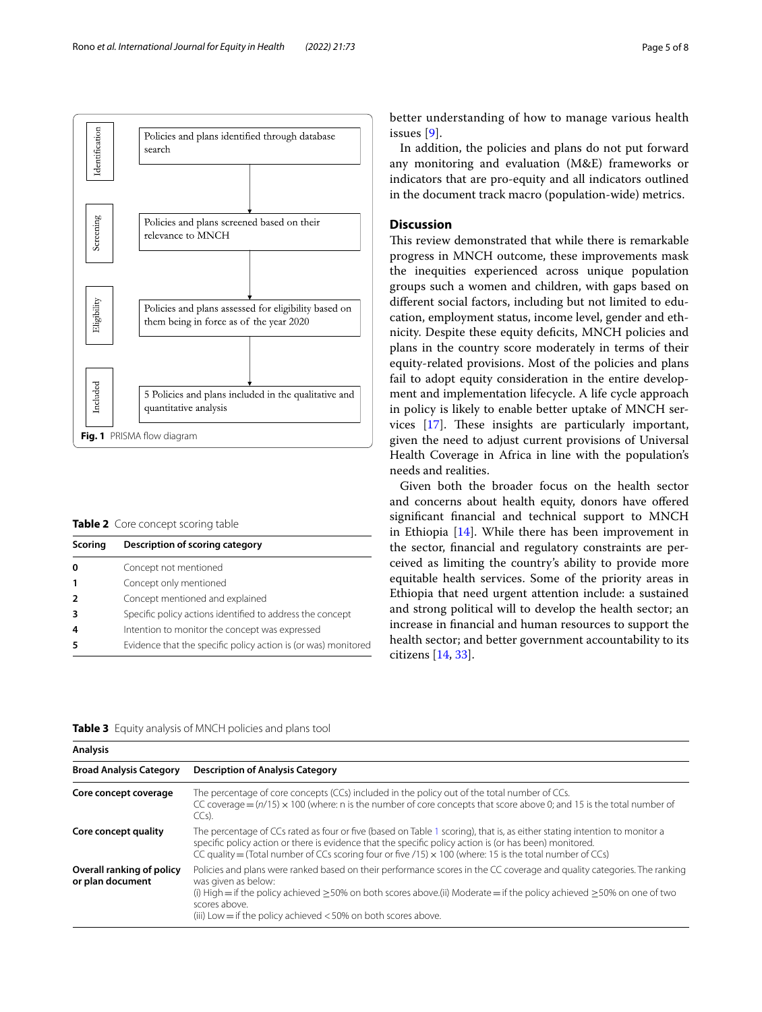

<span id="page-4-1"></span><span id="page-4-0"></span>**Table 2** Core concept scoring table

| Scoring | Description of scoring category                                |
|---------|----------------------------------------------------------------|
| 0       | Concept not mentioned                                          |
|         | Concept only mentioned                                         |
| 2       | Concept mentioned and explained                                |
| 3       | Specific policy actions identified to address the concept      |
|         | Intention to monitor the concept was expressed                 |
|         | Evidence that the specific policy action is (or was) monitored |

better understanding of how to manage various health issues [\[9](#page-7-1)].

In addition, the policies and plans do not put forward any monitoring and evaluation (M&E) frameworks or indicators that are pro-equity and all indicators outlined in the document track macro (population-wide) metrics.

## **Discussion**

This review demonstrated that while there is remarkable progress in MNCH outcome, these improvements mask the inequities experienced across unique population groups such a women and children, with gaps based on diferent social factors, including but not limited to education, employment status, income level, gender and ethnicity. Despite these equity deficits, MNCH policies and plans in the country score moderately in terms of their equity-related provisions. Most of the policies and plans fail to adopt equity consideration in the entire development and implementation lifecycle. A life cycle approach in policy is likely to enable better uptake of MNCH services  $[17]$  $[17]$ . These insights are particularly important, given the need to adjust current provisions of Universal Health Coverage in Africa in line with the population's needs and realities.

Given both the broader focus on the health sector and concerns about health equity, donors have ofered signifcant fnancial and technical support to MNCH in Ethiopia [[14\]](#page-7-6). While there has been improvement in the sector, fnancial and regulatory constraints are perceived as limiting the country's ability to provide more equitable health services. Some of the priority areas in Ethiopia that need urgent attention include: a sustained and strong political will to develop the health sector; an increase in fnancial and human resources to support the health sector; and better government accountability to its citizens [\[14](#page-7-6), [33\]](#page-7-24).

<span id="page-4-2"></span>

| <b>Analysis</b>                               |                                                                                                                                                                                                                                                                                                                                                                          |  |  |  |
|-----------------------------------------------|--------------------------------------------------------------------------------------------------------------------------------------------------------------------------------------------------------------------------------------------------------------------------------------------------------------------------------------------------------------------------|--|--|--|
| <b>Broad Analysis Category</b>                | <b>Description of Analysis Category</b>                                                                                                                                                                                                                                                                                                                                  |  |  |  |
| Core concept coverage                         | The percentage of core concepts (CCs) included in the policy out of the total number of CCs.<br>CC coverage $=(n/15) \times 100$ (where: n is the number of core concepts that score above 0; and 15 is the total number of<br>$CCs$ ).                                                                                                                                  |  |  |  |
| Core concept quality                          | The percentage of CCs rated as four or five (based on Table 1 scoring), that is, as either stating intention to monitor a<br>specific policy action or there is evidence that the specific policy action is (or has been) monitored.<br>CC quality = (Total number of CCs scoring four or five $/15$ ) $\times$ 100 (where: 15 is the total number of CCs)               |  |  |  |
| Overall ranking of policy<br>or plan document | Policies and plans were ranked based on their performance scores in the CC coverage and quality categories. The ranking<br>was given as below:<br>(i) High = if the policy achieved $\geq$ 50% on both scores above.(ii) Moderate = if the policy achieved $\geq$ 50% on one of two<br>scores above.<br>(iii) Low = if the policy achieved $<$ 50% on both scores above. |  |  |  |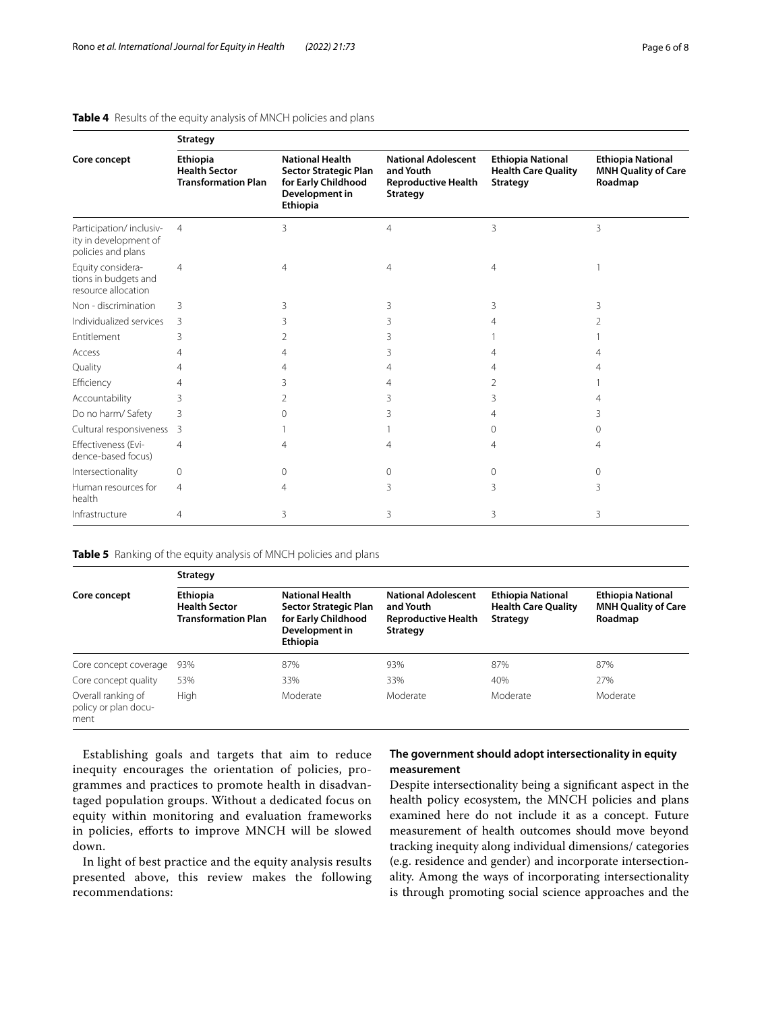| Core concept                                                           | <b>Strategy</b>                                                |                                                                                                      |                                                                                          |                                                                           |                                                                   |  |  |
|------------------------------------------------------------------------|----------------------------------------------------------------|------------------------------------------------------------------------------------------------------|------------------------------------------------------------------------------------------|---------------------------------------------------------------------------|-------------------------------------------------------------------|--|--|
|                                                                        | Ethiopia<br><b>Health Sector</b><br><b>Transformation Plan</b> | <b>National Health</b><br>Sector Strategic Plan<br>for Early Childhood<br>Development in<br>Ethiopia | <b>National Adolescent</b><br>and Youth<br><b>Reproductive Health</b><br><b>Strategy</b> | <b>Ethiopia National</b><br><b>Health Care Quality</b><br><b>Strategy</b> | <b>Ethiopia National</b><br><b>MNH Quality of Care</b><br>Roadmap |  |  |
| Participation/inclusiv-<br>ity in development of<br>policies and plans | $\overline{4}$                                                 | 3                                                                                                    | 4                                                                                        | 3                                                                         | 3                                                                 |  |  |
| Equity considera-<br>tions in budgets and<br>resource allocation       | 4                                                              | 4                                                                                                    | $\overline{4}$                                                                           | 4                                                                         |                                                                   |  |  |
| Non - discrimination                                                   | 3                                                              | 3                                                                                                    | 3                                                                                        | 3                                                                         | ζ                                                                 |  |  |
| Individualized services                                                | 3                                                              |                                                                                                      | 3                                                                                        |                                                                           |                                                                   |  |  |
| Entitlement                                                            | 3                                                              |                                                                                                      |                                                                                          |                                                                           |                                                                   |  |  |
| Access                                                                 | 4                                                              |                                                                                                      | 3                                                                                        |                                                                           |                                                                   |  |  |
| Quality                                                                | 4                                                              |                                                                                                      | 4                                                                                        |                                                                           |                                                                   |  |  |
| Efficiency                                                             | 4                                                              | ੨                                                                                                    | 4                                                                                        | 2                                                                         |                                                                   |  |  |
| Accountability                                                         | 3                                                              | 2                                                                                                    | 3                                                                                        | 3                                                                         |                                                                   |  |  |
| Do no harm/ Safety                                                     | 3                                                              |                                                                                                      |                                                                                          | 4                                                                         |                                                                   |  |  |
| Cultural responsiveness                                                | 3                                                              |                                                                                                      |                                                                                          | 0                                                                         | Ω                                                                 |  |  |
| Effectiveness (Evi-<br>dence-based focus)                              | 4                                                              | 4                                                                                                    | 4                                                                                        | 4                                                                         |                                                                   |  |  |
| Intersectionality                                                      | 0                                                              | $\Omega$                                                                                             | $\Omega$                                                                                 | 0                                                                         | $\Omega$                                                          |  |  |
| Human resources for<br>health                                          | 4                                                              |                                                                                                      | 3                                                                                        | 3                                                                         | 3                                                                 |  |  |
| Infrastructure                                                         | 4                                                              | 3                                                                                                    | 3                                                                                        | 3                                                                         | 3                                                                 |  |  |

## <span id="page-5-0"></span>**Table 4** Results of the equity analysis of MNCH policies and plans

<span id="page-5-1"></span>**Table 5** Ranking of the equity analysis of MNCH policies and plans

**Strategy**

| Core concept                                       | strategy                                                              |                                                                                                             |                                                                                          |                                                                           |                                                                   |  |
|----------------------------------------------------|-----------------------------------------------------------------------|-------------------------------------------------------------------------------------------------------------|------------------------------------------------------------------------------------------|---------------------------------------------------------------------------|-------------------------------------------------------------------|--|
|                                                    | <b>Ethiopia</b><br><b>Health Sector</b><br><b>Transformation Plan</b> | <b>National Health</b><br>Sector Strategic Plan<br>for Early Childhood<br>Development in<br><b>Ethiopia</b> | <b>National Adolescent</b><br>and Youth<br><b>Reproductive Health</b><br><b>Strategy</b> | <b>Ethiopia National</b><br><b>Health Care Quality</b><br><b>Strategy</b> | <b>Ethiopia National</b><br><b>MNH Quality of Care</b><br>Roadmap |  |
| Core concept coverage                              | 93%                                                                   | 87%                                                                                                         | 93%                                                                                      | 87%                                                                       | 87%                                                               |  |
| Core concept quality                               | 53%                                                                   | 33%                                                                                                         | 33%                                                                                      | 40%                                                                       | 27%                                                               |  |
| Overall ranking of<br>policy or plan docu-<br>ment | High                                                                  | Moderate                                                                                                    | Moderate                                                                                 | Moderate                                                                  | Moderate                                                          |  |

Establishing goals and targets that aim to reduce inequity encourages the orientation of policies, programmes and practices to promote health in disadvantaged population groups. Without a dedicated focus on equity within monitoring and evaluation frameworks in policies, eforts to improve MNCH will be slowed down.

In light of best practice and the equity analysis results presented above, this review makes the following recommendations:

## **The government should adopt intersectionality in equity measurement**

Despite intersectionality being a signifcant aspect in the health policy ecosystem, the MNCH policies and plans examined here do not include it as a concept. Future measurement of health outcomes should move beyond tracking inequity along individual dimensions/ categories (e.g. residence and gender) and incorporate intersectionality. Among the ways of incorporating intersectionality is through promoting social science approaches and the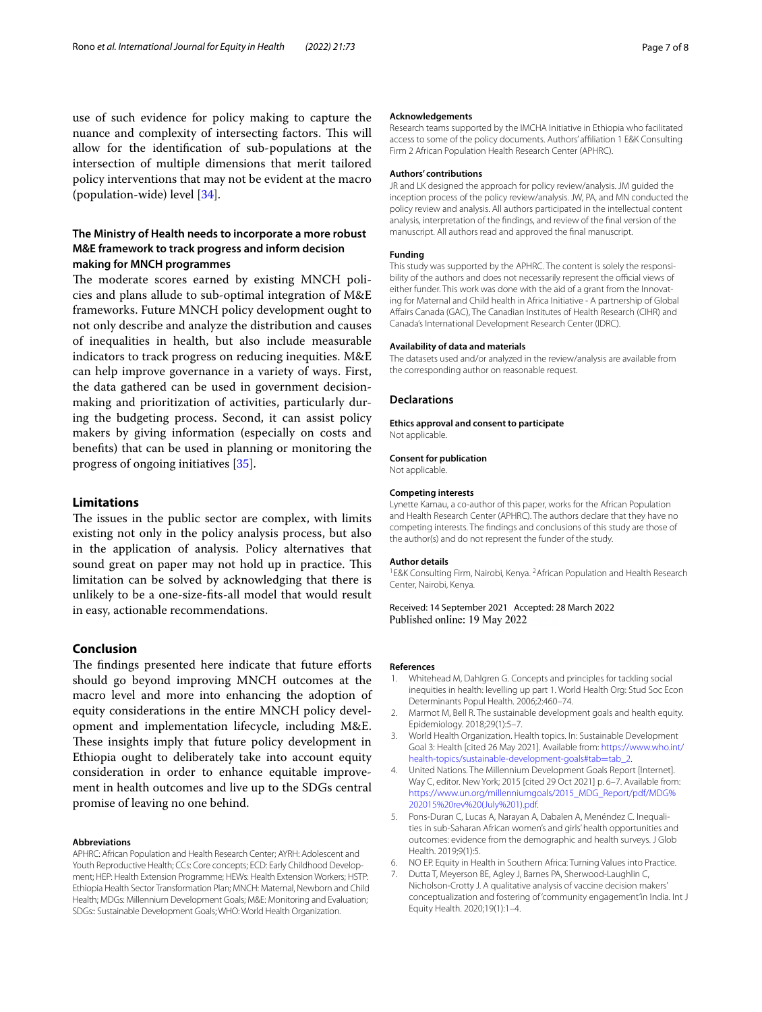use of such evidence for policy making to capture the nuance and complexity of intersecting factors. This will allow for the identifcation of sub-populations at the intersection of multiple dimensions that merit tailored policy interventions that may not be evident at the macro (population-wide) level [\[34](#page-7-25)].

## **The Ministry of Health needs to incorporate a more robust M&E framework to track progress and inform decision making for MNCH programmes**

The moderate scores earned by existing MNCH policies and plans allude to sub-optimal integration of M&E frameworks. Future MNCH policy development ought to not only describe and analyze the distribution and causes of inequalities in health, but also include measurable indicators to track progress on reducing inequities. M&E can help improve governance in a variety of ways. First, the data gathered can be used in government decisionmaking and prioritization of activities, particularly during the budgeting process. Second, it can assist policy makers by giving information (especially on costs and benefts) that can be used in planning or monitoring the progress of ongoing initiatives [[35\]](#page-7-26).

## **Limitations**

The issues in the public sector are complex, with limits existing not only in the policy analysis process, but also in the application of analysis. Policy alternatives that sound great on paper may not hold up in practice. This limitation can be solved by acknowledging that there is unlikely to be a one-size-fts-all model that would result in easy, actionable recommendations.

## **Conclusion**

The findings presented here indicate that future efforts should go beyond improving MNCH outcomes at the macro level and more into enhancing the adoption of equity considerations in the entire MNCH policy development and implementation lifecycle, including M&E. These insights imply that future policy development in Ethiopia ought to deliberately take into account equity consideration in order to enhance equitable improvement in health outcomes and live up to the SDGs central promise of leaving no one behind.

#### **Abbreviations**

APHRC: African Population and Health Research Center; AYRH: Adolescent and Youth Reproductive Health; CCs: Core concepts; ECD: Early Childhood Development; HEP: Health Extension Programme; HEWs: Health Extension Workers; HSTP: Ethiopia Health Sector Transformation Plan; MNCH: Maternal, Newborn and Child Health; MDGs: Millennium Development Goals; M&E: Monitoring and Evaluation; SDGs:: Sustainable Development Goals; WHO: World Health Organization.

#### **Acknowledgements**

Research teams supported by the IMCHA Initiative in Ethiopia who facilitated access to some of the policy documents. Authors' afliation 1 E&K Consulting Firm 2 African Population Health Research Center (APHRC).

#### **Authors' contributions**

JR and LK designed the approach for policy review/analysis. JM guided the inception process of the policy review/analysis. JW, PA, and MN conducted the policy review and analysis. All authors participated in the intellectual content analysis, interpretation of the fndings, and review of the fnal version of the manuscript. All authors read and approved the fnal manuscript.

#### **Funding**

This study was supported by the APHRC. The content is solely the responsibility of the authors and does not necessarily represent the official views of either funder. This work was done with the aid of a grant from the Innovating for Maternal and Child health in Africa Initiative - A partnership of Global Afairs Canada (GAC), The Canadian Institutes of Health Research (CIHR) and Canada's International Development Research Center (IDRC).

## **Availability of data and materials**

The datasets used and/or analyzed in the review/analysis are available from the corresponding author on reasonable request.

#### **Declarations**

**Ethics approval and consent to participate** Not applicable.

#### **Consent for publication**

Not applicable.

#### **Competing interests**

Lynette Kamau, a co-author of this paper, works for the African Population and Health Research Center (APHRC). The authors declare that they have no competing interests. The fndings and conclusions of this study are those of the author(s) and do not represent the funder of the study.

#### **Author details**

<sup>1</sup> E&K Consulting Firm, Nairobi, Kenya. <sup>2</sup> African Population and Health Research Center, Nairobi, Kenya.

Received: 14 September 2021 Accepted: 28 March 2022 Published online: 19 May 2022

#### **References**

- <span id="page-6-0"></span>1. Whitehead M, Dahlgren G. Concepts and principles for tackling social inequities in health: levelling up part 1. World Health Org: Stud Soc Econ Determinants Popul Health. 2006;2:460–74.
- <span id="page-6-1"></span>2. Marmot M, Bell R. The sustainable development goals and health equity. Epidemiology. 2018;29(1):5–7.
- <span id="page-6-2"></span>3. World Health Organization. Health topics. In: Sustainable Development Goal 3: Health [cited 26 May 2021]. Available from: [https://www.who.int/](https://www.who.int/health-topics/sustainable-development-goals#tab=tab_2) [health-topics/sustainable-development-goals#tab](https://www.who.int/health-topics/sustainable-development-goals#tab=tab_2)=tab\_2.
- <span id="page-6-3"></span>4. United Nations. The Millennium Development Goals Report [Internet]. Way C, editor. New York; 2015 [cited 29 Oct 2021] p. 6–7. Available from: [https://www.un.org/millenniumgoals/2015\\_MDG\\_Report/pdf/MDG%](https://www.un.org/millenniumgoals/2015_MDG_Report/pdf/MDG%202015%20rev%20(July%201).pdf) [202015%20rev%20\(July%201\).pdf.](https://www.un.org/millenniumgoals/2015_MDG_Report/pdf/MDG%202015%20rev%20(July%201).pdf)
- <span id="page-6-4"></span>5. Pons-Duran C, Lucas A, Narayan A, Dabalen A, Menéndez C. Inequalities in sub-Saharan African women's and girls' health opportunities and outcomes: evidence from the demographic and health surveys. J Glob Health. 2019;9(1):5.
- <span id="page-6-5"></span>6. NO EP. Equity in Health in Southern Africa: Turning Values into Practice.
- <span id="page-6-6"></span>7. Dutta T, Meyerson BE, Agley J, Barnes PA, Sherwood-Laughlin C, Nicholson-Crotty J. A qualitative analysis of vaccine decision makers' conceptualization and fostering of 'community engagement'in India. Int J Equity Health. 2020;19(1):1–4.